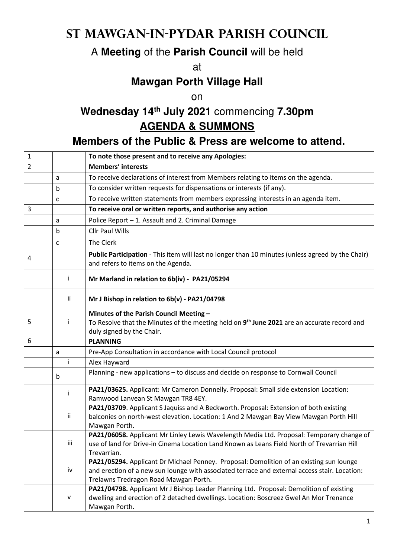# **St Mawgan-in-Pydar Parish Council**

### A **Meeting** of the **Parish Council** will be held

at

### **Mawgan Porth Village Hall**

on

## **Wednesday 14th July 2021** commencing **7.30pm AGENDA & SUMMONS**

#### **Members of the Public & Press are welcome to attend.**

| $\mathbf{1}$   |   |     | To note those present and to receive any Apologies:                                                                                     |
|----------------|---|-----|-----------------------------------------------------------------------------------------------------------------------------------------|
| $\overline{2}$ |   |     | <b>Members' interests</b>                                                                                                               |
|                | a |     | To receive declarations of interest from Members relating to items on the agenda.                                                       |
|                | b |     | To consider written requests for dispensations or interests (if any).                                                                   |
|                | c |     | To receive written statements from members expressing interests in an agenda item.                                                      |
| 3              |   |     | To receive oral or written reports, and authorise any action                                                                            |
|                | a |     | Police Report - 1. Assault and 2. Criminal Damage                                                                                       |
|                | b |     | <b>Cllr Paul Wills</b>                                                                                                                  |
|                | c |     | The Clerk                                                                                                                               |
| 4              |   |     | Public Participation - This item will last no longer than 10 minutes (unless agreed by the Chair)<br>and refers to items on the Agenda. |
|                |   | Ť   | Mr Marland in relation to 6b(iv) - PA21/05294                                                                                           |
|                |   | ii. | Mr J Bishop in relation to 6b(v) - PA21/04798                                                                                           |
|                |   |     | Minutes of the Parish Council Meeting -                                                                                                 |
| 5              |   | Ť   | To Resolve that the Minutes of the meeting held on 9 <sup>th</sup> June 2021 are an accurate record and                                 |
| 6              |   |     | duly signed by the Chair.<br><b>PLANNING</b>                                                                                            |
|                | a |     | Pre-App Consultation in accordance with Local Council protocol                                                                          |
|                |   |     | Alex Hayward                                                                                                                            |
|                |   |     | Planning - new applications - to discuss and decide on response to Cornwall Council                                                     |
|                | b |     |                                                                                                                                         |
|                |   |     | PA21/03625. Applicant: Mr Cameron Donnelly. Proposal: Small side extension Location:<br>Ramwood Lanvean St Mawgan TR8 4EY.              |
|                |   |     | PA21/03709. Applicant S Jaquiss and A Beckworth. Proposal: Extension of both existing                                                   |
|                |   | ii  | balconies on north-west elevation. Location: 1 And 2 Mawgan Bay View Mawgan Porth Hill<br>Mawgan Porth.                                 |
|                |   |     | PA21/06058. Applicant Mr Linley Lewis Wavelength Media Ltd. Proposal: Temporary change of                                               |
|                |   | iii | use of land for Drive-in Cinema Location Land Known as Leans Field North of Trevarrian Hill                                             |
|                |   |     | Trevarrian.                                                                                                                             |
|                |   |     | PA21/05294. Applicant Dr Michael Penney. Proposal: Demolition of an existing sun lounge                                                 |
|                |   | iv  | and erection of a new sun lounge with associated terrace and external access stair. Location:                                           |
|                |   |     | Trelawns Tredragon Road Mawgan Porth.<br>PA21/04798. Applicant Mr J Bishop Leader Planning Ltd. Proposal: Demolition of existing        |
|                |   | v   | dwelling and erection of 2 detached dwellings. Location: Boscreez Gwel An Mor Trenance                                                  |
|                |   |     | Mawgan Porth.                                                                                                                           |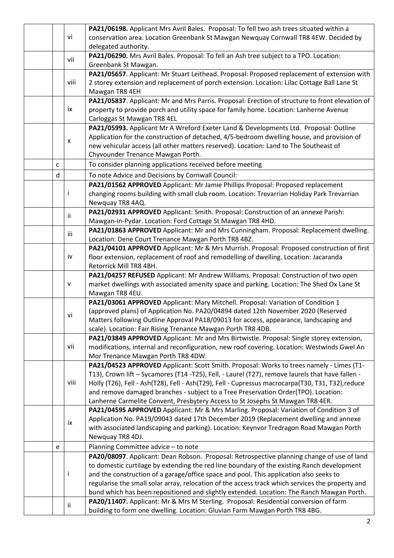|   |      | PA21/06198. Applicant Mrs Avril Bales. Proposal: To fell two ash trees situated within a                                                                                                      |
|---|------|-----------------------------------------------------------------------------------------------------------------------------------------------------------------------------------------------|
|   | vi   | conservation area. Location Greenbank St Mawgan Newquay Cornwall TR8 4EW. Decided by                                                                                                          |
|   |      | delegated authority.                                                                                                                                                                          |
|   | vii  | PA21/06290. Mrs Avril Bales. Proposal: To fell an Ash tree subject to a TPO. Location:                                                                                                        |
|   |      | Greenbank St Mawgan.                                                                                                                                                                          |
|   |      | PA21/05657. Applicant: Mr Stuart Leithead. Proposal: Proposed replacement of extension with                                                                                                   |
|   | viii | 2 storey extension and replacement of porch extension. Location: Lilac Cottage Ball Lane St                                                                                                   |
|   |      | Mawgan TR8 4EH                                                                                                                                                                                |
|   |      | PA21/05837. Applicant: Mr and Mrs Parris. Proposal: Erection of structure to front elevation of                                                                                               |
|   | ix   | property to provide porch and utility space for family home. Location: Lanherne Avenue                                                                                                        |
|   |      | Carloggas St Mawgan TR8 4EL                                                                                                                                                                   |
|   |      | PA21/05993. Applicant Mr A Wreford Exeter Land & Developments Ltd. Proposal: Outline                                                                                                          |
|   | X    | Application for the construction of detached, 4/5-bedroom dwelling house, and provision of                                                                                                    |
|   |      | new vehicular access (all other matters reserved). Location: Land to The Southeast of                                                                                                         |
|   |      | Chyvounder Trenance Mawgan Porth.                                                                                                                                                             |
| C |      | To consider planning applications received before meeting                                                                                                                                     |
| d |      | To note Advice and Decisions by Cornwall Council:                                                                                                                                             |
|   |      | PA21/01562 APPROVED Applicant: Mr Jamie Phillips Proposal: Proposed replacement                                                                                                               |
|   | Ť    | changing rooms building with small club room. Location: Trevarrian Holiday Park Trevarrian                                                                                                    |
|   |      | Newquay TR8 4AQ.                                                                                                                                                                              |
|   | ii.  | PA21/02931 APPROVED Applicant: Smith. Proposal: Construction of an annexe Parish:                                                                                                             |
|   |      | Mawgan-in-Pydar. Location: Ford Cottage St Mawgan TR8 4HD.                                                                                                                                    |
|   | iii  | PA21/01863 APPROVED Applicant: Mr and Mrs Cunningham. Proposal: Replacement dwelling.                                                                                                         |
|   |      | Location: Dene Court Trenance Mawgan Porth TR8 4BZ.                                                                                                                                           |
|   |      | PA21/04101 APPROVED Applicant: Mr & Mrs Murrish. Proposal: Proposed construction of first                                                                                                     |
|   | iv   | floor extension, replacement of roof and remodelling of dwelling. Location: Jacaranda                                                                                                         |
|   |      | Retorrick Mill TR8 4BH.                                                                                                                                                                       |
|   |      | PA21/04257 REFUSED Applicant: Mr Andrew Williams. Proposal: Construction of two open                                                                                                          |
|   | v    | market dwellings with associated amenity space and parking. Location: The Shed Ox Lane St                                                                                                     |
|   |      | Mawgan TR8 4EU.                                                                                                                                                                               |
|   |      | PA21/03061 APPROVED Applicant: Mary Mitchell. Proposal: Variation of Condition 1                                                                                                              |
|   | vi   | (approved plans) of Application No. PA20/04894 dated 12th November 2020 (Reserved                                                                                                             |
|   |      | Matters following Outline Approval PA18/09013 for access, appearance, landscaping and                                                                                                         |
|   |      | scale). Location: Fair Rising Trenance Mawgan Porth TR8 4DB.                                                                                                                                  |
|   | vii  | PA21/03849 APPROVED Applicant: Mr and Mrs Birtwistle. Proposal: Single storey extension,                                                                                                      |
|   |      | modifications, internal and reconfiguration, new roof covering. Location: Westwinds Gwel An                                                                                                   |
|   |      | Mor Trenance Mawgan Porth TR8 4DW.                                                                                                                                                            |
|   |      | PA21/04523 APPROVED Applicant: Scott Smith. Proposal: Works to trees namely - Limes (T1-                                                                                                      |
|   | viii | T13), Crown lift - Sycamores (T14 -T25), Fell, - Laurel (T27), remove laurels that have fallen -                                                                                              |
|   |      | Holly (T26), Fell - Ash(T28), Fell - Ash(T29), Fell - Cupressus macrocarpa(T30, T31, T32),reduce                                                                                              |
|   |      | and remove damaged branches - subject to a Tree Preservation Order(TPO). Location:                                                                                                            |
|   |      | Lanherne Carmelite Convent, Presbytery Access to St Josephs St Mawgan TR8 4ER.<br>PA21/04595 APPROVED Applicant: Mr & Mrs Marling. Proposal: Variation of Condition 3 of                      |
|   |      | Application No. PA19/09043 dated 17th December 2019 (Replacement dwelling and annexe                                                                                                          |
|   | ix   | with associated landscaping and parking). Location: Keynvor Tredragon Road Mawgan Porth                                                                                                       |
|   |      | Newquay TR8 4DJ.                                                                                                                                                                              |
|   |      |                                                                                                                                                                                               |
| e |      | Planning Committee advice - to note                                                                                                                                                           |
|   |      | PA20/08097. Applicant: Dean Robson. Proposal: Retrospective planning change of use of land                                                                                                    |
|   | j.   | to domestic curtilage by extending the red line boundary of the existing Ranch development                                                                                                    |
|   |      | and the construction of a garage/office space and pool. This application also seeks to                                                                                                        |
|   |      | regularise the small solar array, relocation of the access track which services the property and<br>bund which has been repositioned and slightly extended. Location: The Ranch Mawgan Porth. |
|   |      |                                                                                                                                                                                               |
|   | ij.  | PA20/11407. Applicant: Mr & Mrs M Sterling. Proposal: Residential conversion of farm                                                                                                          |
|   |      | building to form one dwelling. Location: Gluvian Farm Mawgan Porth TR8 4BG.                                                                                                                   |